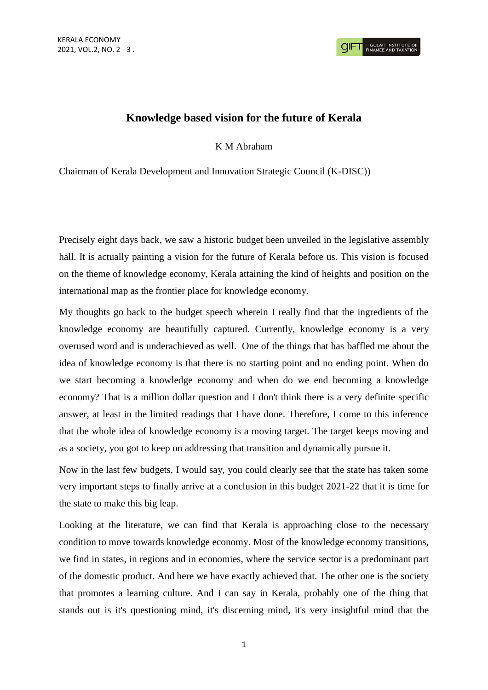## **Knowledge based vision for the future of Kerala**

K M Abraham

Chairman of Kerala Development and Innovation Strategic Council (K-DISC))

Precisely eight days back, we saw a historic budget been unveiled in the legislative assembly hall. It is actually painting a vision for the future of Kerala before us. This vision is focused on the theme of knowledge economy, Kerala attaining the kind of heights and position on the international map as the frontier place for knowledge economy.

My thoughts go back to the budget speech wherein I really find that the ingredients of the knowledge economy are beautifully captured. Currently, knowledge economy is a very overused word and is underachieved as well. One of the things that has baffled me about the idea of knowledge economy is that there is no starting point and no ending point. When do we start becoming a knowledge economy and when do we end becoming a knowledge economy? That is a million dollar question and I don't think there is a very definite specific answer, at least in the limited readings that I have done. Therefore, I come to this inference that the whole idea of knowledge economy is a moving target. The target keeps moving and as a society, you got to keep on addressing that transition and dynamically pursue it.

Now in the last few budgets, I would say, you could clearly see that the state has taken some very important steps to finally arrive at a conclusion in this budget 2021-22 that it is time for the state to make this big leap.

Looking at the literature, we can find that Kerala is approaching close to the necessary condition to move towards knowledge economy. Most of the knowledge economy transitions, we find in states, in regions and in economies, where the service sector is a predominant part of the domestic product. And here we have exactly achieved that. The other one is the society that promotes a learning culture. And I can say in Kerala, probably one of the thing that stands out is it's questioning mind, it's discerning mind, it's very insightful mind that the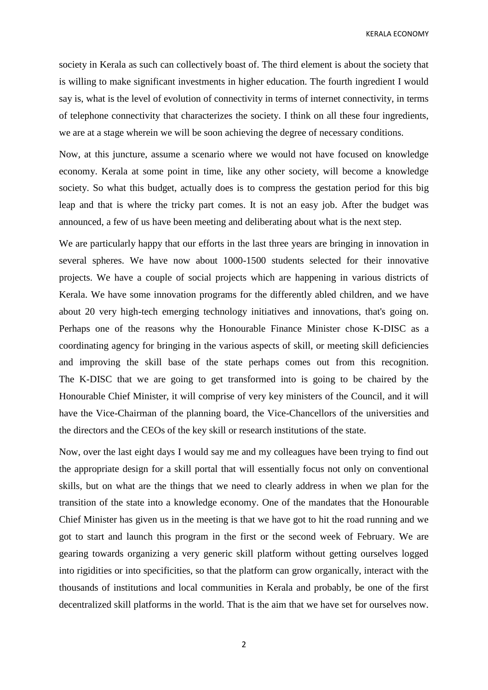KERALA ECONOMY

society in Kerala as such can collectively boast of. The third element is about the society that is willing to make significant investments in higher education. The fourth ingredient I would say is, what is the level of evolution of connectivity in terms of internet connectivity, in terms of telephone connectivity that characterizes the society. I think on all these four ingredients, we are at a stage wherein we will be soon achieving the degree of necessary conditions.

Now, at this juncture, assume a scenario where we would not have focused on knowledge economy. Kerala at some point in time, like any other society, will become a knowledge society. So what this budget, actually does is to compress the gestation period for this big leap and that is where the tricky part comes. It is not an easy job. After the budget was announced, a few of us have been meeting and deliberating about what is the next step.

We are particularly happy that our efforts in the last three years are bringing in innovation in several spheres. We have now about 1000-1500 students selected for their innovative projects. We have a couple of social projects which are happening in various districts of Kerala. We have some innovation programs for the differently abled children, and we have about 20 very high-tech emerging technology initiatives and innovations, that's going on. Perhaps one of the reasons why the Honourable Finance Minister chose K-DISC as a coordinating agency for bringing in the various aspects of skill, or meeting skill deficiencies and improving the skill base of the state perhaps comes out from this recognition. The K-DISC that we are going to get transformed into is going to be chaired by the Honourable Chief Minister, it will comprise of very key ministers of the Council, and it will have the Vice-Chairman of the planning board, the Vice-Chancellors of the universities and the directors and the CEOs of the key skill or research institutions of the state.

Now, over the last eight days I would say me and my colleagues have been trying to find out the appropriate design for a skill portal that will essentially focus not only on conventional skills, but on what are the things that we need to clearly address in when we plan for the transition of the state into a knowledge economy. One of the mandates that the Honourable Chief Minister has given us in the meeting is that we have got to hit the road running and we got to start and launch this program in the first or the second week of February. We are gearing towards organizing a very generic skill platform without getting ourselves logged into rigidities or into specificities, so that the platform can grow organically, interact with the thousands of institutions and local communities in Kerala and probably, be one of the first decentralized skill platforms in the world. That is the aim that we have set for ourselves now.

2